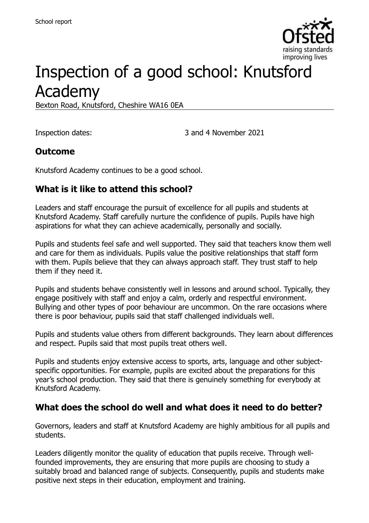

# Inspection of a good school: Knutsford Academy

Bexton Road, Knutsford, Cheshire WA16 0EA

Inspection dates: 3 and 4 November 2021

## **Outcome**

Knutsford Academy continues to be a good school.

## **What is it like to attend this school?**

Leaders and staff encourage the pursuit of excellence for all pupils and students at Knutsford Academy. Staff carefully nurture the confidence of pupils. Pupils have high aspirations for what they can achieve academically, personally and socially.

Pupils and students feel safe and well supported. They said that teachers know them well and care for them as individuals. Pupils value the positive relationships that staff form with them. Pupils believe that they can always approach staff. They trust staff to help them if they need it.

Pupils and students behave consistently well in lessons and around school. Typically, they engage positively with staff and enjoy a calm, orderly and respectful environment. Bullying and other types of poor behaviour are uncommon. On the rare occasions where there is poor behaviour, pupils said that staff challenged individuals well.

Pupils and students value others from different backgrounds. They learn about differences and respect. Pupils said that most pupils treat others well.

Pupils and students enjoy extensive access to sports, arts, language and other subjectspecific opportunities. For example, pupils are excited about the preparations for this year's school production. They said that there is genuinely something for everybody at Knutsford Academy.

## **What does the school do well and what does it need to do better?**

Governors, leaders and staff at Knutsford Academy are highly ambitious for all pupils and students.

Leaders diligently monitor the quality of education that pupils receive. Through wellfounded improvements, they are ensuring that more pupils are choosing to study a suitably broad and balanced range of subjects. Consequently, pupils and students make positive next steps in their education, employment and training.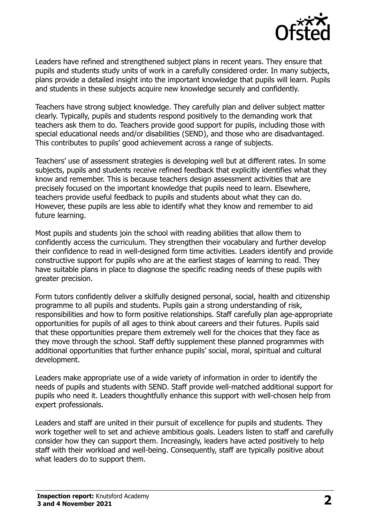

Leaders have refined and strengthened subject plans in recent years. They ensure that pupils and students study units of work in a carefully considered order. In many subjects, plans provide a detailed insight into the important knowledge that pupils will learn. Pupils and students in these subjects acquire new knowledge securely and confidently.

Teachers have strong subject knowledge. They carefully plan and deliver subject matter clearly. Typically, pupils and students respond positively to the demanding work that teachers ask them to do. Teachers provide good support for pupils, including those with special educational needs and/or disabilities (SEND), and those who are disadvantaged. This contributes to pupils' good achievement across a range of subjects.

Teachers' use of assessment strategies is developing well but at different rates. In some subjects, pupils and students receive refined feedback that explicitly identifies what they know and remember. This is because teachers design assessment activities that are precisely focused on the important knowledge that pupils need to learn. Elsewhere, teachers provide useful feedback to pupils and students about what they can do. However, these pupils are less able to identify what they know and remember to aid future learning.

Most pupils and students join the school with reading abilities that allow them to confidently access the curriculum. They strengthen their vocabulary and further develop their confidence to read in well-designed form time activities. Leaders identify and provide constructive support for pupils who are at the earliest stages of learning to read. They have suitable plans in place to diagnose the specific reading needs of these pupils with greater precision.

Form tutors confidently deliver a skilfully designed personal, social, health and citizenship programme to all pupils and students. Pupils gain a strong understanding of risk, responsibilities and how to form positive relationships. Staff carefully plan age-appropriate opportunities for pupils of all ages to think about careers and their futures. Pupils said that these opportunities prepare them extremely well for the choices that they face as they move through the school. Staff deftly supplement these planned programmes with additional opportunities that further enhance pupils' social, moral, spiritual and cultural development.

Leaders make appropriate use of a wide variety of information in order to identify the needs of pupils and students with SEND. Staff provide well-matched additional support for pupils who need it. Leaders thoughtfully enhance this support with well-chosen help from expert professionals.

Leaders and staff are united in their pursuit of excellence for pupils and students. They work together well to set and achieve ambitious goals. Leaders listen to staff and carefully consider how they can support them. Increasingly, leaders have acted positively to help staff with their workload and well-being. Consequently, staff are typically positive about what leaders do to support them.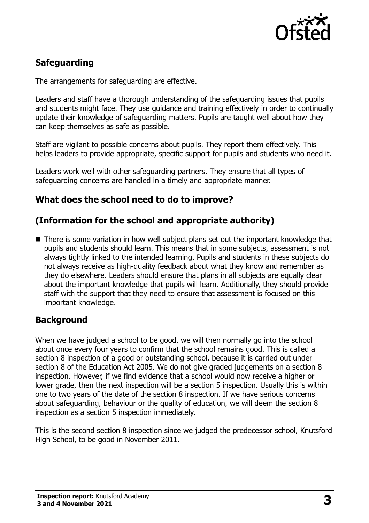

## **Safeguarding**

The arrangements for safeguarding are effective.

Leaders and staff have a thorough understanding of the safeguarding issues that pupils and students might face. They use guidance and training effectively in order to continually update their knowledge of safeguarding matters. Pupils are taught well about how they can keep themselves as safe as possible.

Staff are vigilant to possible concerns about pupils. They report them effectively. This helps leaders to provide appropriate, specific support for pupils and students who need it.

Leaders work well with other safeguarding partners. They ensure that all types of safeguarding concerns are handled in a timely and appropriate manner.

## **What does the school need to do to improve?**

## **(Information for the school and appropriate authority)**

■ There is some variation in how well subject plans set out the important knowledge that pupils and students should learn. This means that in some subjects, assessment is not always tightly linked to the intended learning. Pupils and students in these subjects do not always receive as high-quality feedback about what they know and remember as they do elsewhere. Leaders should ensure that plans in all subjects are equally clear about the important knowledge that pupils will learn. Additionally, they should provide staff with the support that they need to ensure that assessment is focused on this important knowledge.

### **Background**

When we have judged a school to be good, we will then normally go into the school about once every four years to confirm that the school remains good. This is called a section 8 inspection of a good or outstanding school, because it is carried out under section 8 of the Education Act 2005. We do not give graded judgements on a section 8 inspection. However, if we find evidence that a school would now receive a higher or lower grade, then the next inspection will be a section 5 inspection. Usually this is within one to two years of the date of the section 8 inspection. If we have serious concerns about safeguarding, behaviour or the quality of education, we will deem the section 8 inspection as a section 5 inspection immediately.

This is the second section 8 inspection since we judged the predecessor school, Knutsford High School, to be good in November 2011.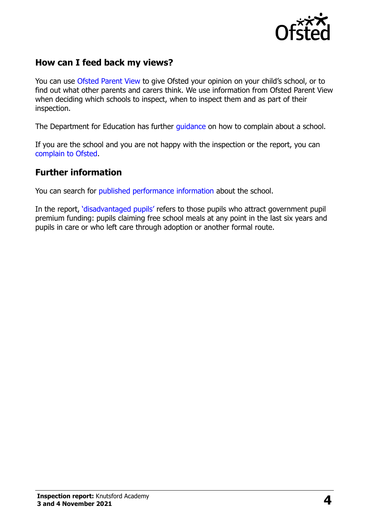

## **How can I feed back my views?**

You can use [Ofsted Parent View](https://parentview.ofsted.gov.uk/) to give Ofsted your opinion on your child's school, or to find out what other parents and carers think. We use information from Ofsted Parent View when deciding which schools to inspect, when to inspect them and as part of their inspection.

The Department for Education has further quidance on how to complain about a school.

If you are the school and you are not happy with the inspection or the report, you can [complain to Ofsted.](https://www.gov.uk/complain-ofsted-report)

### **Further information**

You can search for [published performance information](http://www.compare-school-performance.service.gov.uk/) about the school.

In the report, '[disadvantaged pupils](http://www.gov.uk/guidance/pupil-premium-information-for-schools-and-alternative-provision-settings)' refers to those pupils who attract government pupil premium funding: pupils claiming free school meals at any point in the last six years and pupils in care or who left care through adoption or another formal route.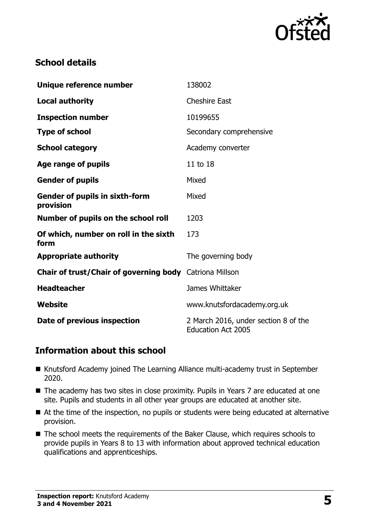

## **School details**

| Unique reference number                                        | 138002                                                            |
|----------------------------------------------------------------|-------------------------------------------------------------------|
| <b>Local authority</b>                                         | <b>Cheshire East</b>                                              |
| <b>Inspection number</b>                                       | 10199655                                                          |
| <b>Type of school</b>                                          | Secondary comprehensive                                           |
| <b>School category</b>                                         | Academy converter                                                 |
| Age range of pupils                                            | 11 to 18                                                          |
| <b>Gender of pupils</b>                                        | Mixed                                                             |
| <b>Gender of pupils in sixth-form</b><br>provision             | Mixed                                                             |
| Number of pupils on the school roll                            | 1203                                                              |
| Of which, number on roll in the sixth<br>form                  | 173                                                               |
| <b>Appropriate authority</b>                                   | The governing body                                                |
| <b>Chair of trust/Chair of governing body</b> Catriona Millson |                                                                   |
| <b>Headteacher</b>                                             | James Whittaker                                                   |
| Website                                                        | www.knutsfordacademy.org.uk                                       |
| Date of previous inspection                                    | 2 March 2016, under section 8 of the<br><b>Education Act 2005</b> |

## **Information about this school**

- Knutsford Academy joined The Learning Alliance multi-academy trust in September 2020.
- The academy has two sites in close proximity. Pupils in Years 7 are educated at one site. Pupils and students in all other year groups are educated at another site.
- At the time of the inspection, no pupils or students were being educated at alternative provision.
- The school meets the requirements of the Baker Clause, which requires schools to provide pupils in Years 8 to 13 with information about approved technical education qualifications and apprenticeships.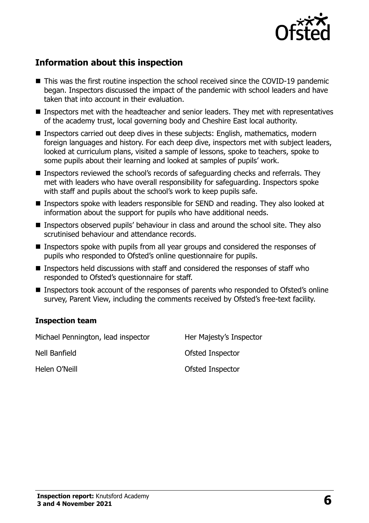

## **Information about this inspection**

- This was the first routine inspection the school received since the COVID-19 pandemic began. Inspectors discussed the impact of the pandemic with school leaders and have taken that into account in their evaluation.
- **Inspectors met with the headteacher and senior leaders. They met with representatives** of the academy trust, local governing body and Cheshire East local authority.
- Inspectors carried out deep dives in these subjects: English, mathematics, modern foreign languages and history. For each deep dive, inspectors met with subject leaders, looked at curriculum plans, visited a sample of lessons, spoke to teachers, spoke to some pupils about their learning and looked at samples of pupils' work.
- Inspectors reviewed the school's records of safeguarding checks and referrals. They met with leaders who have overall responsibility for safeguarding. Inspectors spoke with staff and pupils about the school's work to keep pupils safe.
- **Inspectors spoke with leaders responsible for SEND and reading. They also looked at** information about the support for pupils who have additional needs.
- Inspectors observed pupils' behaviour in class and around the school site. They also scrutinised behaviour and attendance records.
- Inspectors spoke with pupils from all year groups and considered the responses of pupils who responded to Ofsted's online questionnaire for pupils.
- Inspectors held discussions with staff and considered the responses of staff who responded to Ofsted's questionnaire for staff.
- Inspectors took account of the responses of parents who responded to Ofsted's online survey, Parent View, including the comments received by Ofsted's free-text facility.

#### **Inspection team**

| Michael Pennington, lead inspector | Her Majesty's Inspector |
|------------------------------------|-------------------------|
| Nell Banfield                      | Ofsted Inspector        |
| Helen O'Neill                      | Ofsted Inspector        |